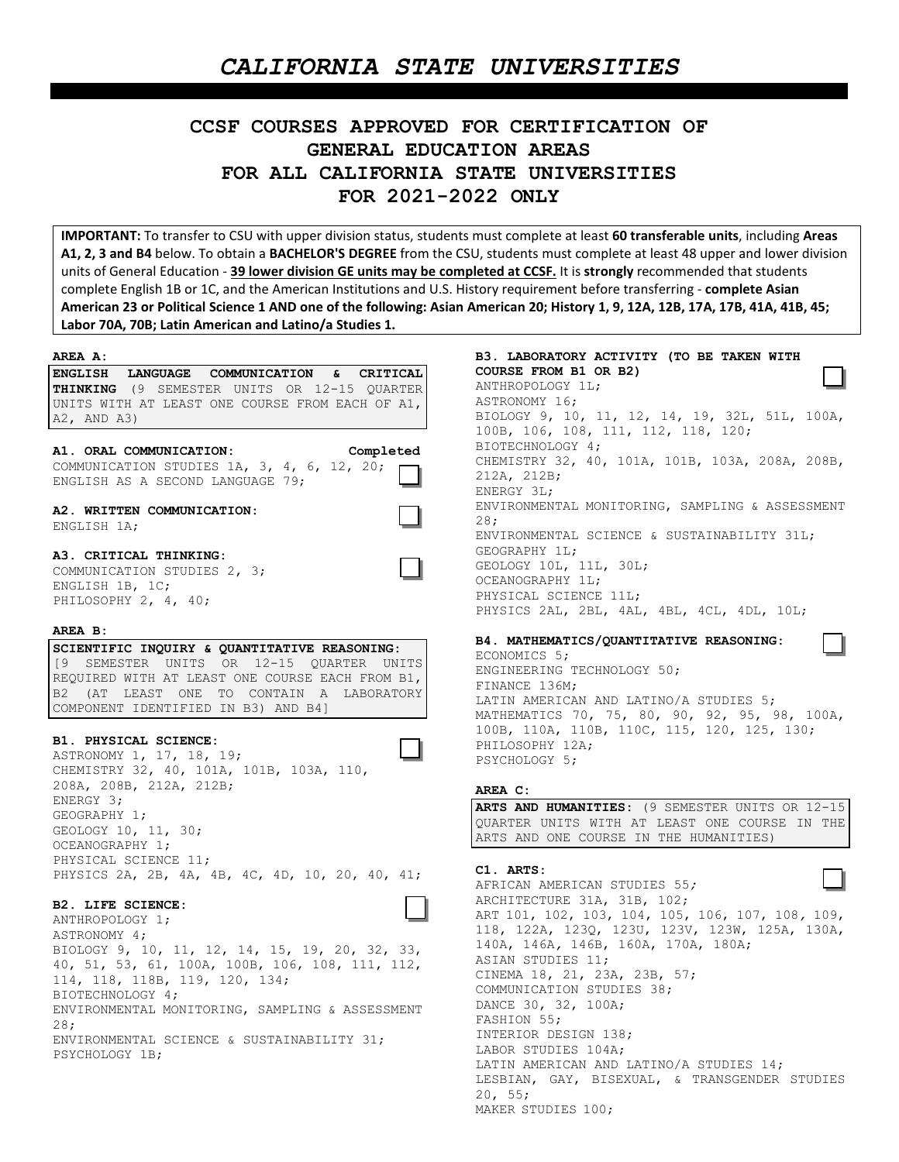## *CALIFORNIA STATE UNIVERSITIES*

# **CCSF COURSES APPROVED FOR CERTIFICATION OF GENERAL EDUCATION AREAS FOR ALL CALIFORNIA STATE UNIVERSITIES FOR 2021-2022 ONLY**

**IMPORTANT:** To transfer to CSU with upper division status, students must complete at least **60 transferable units**, including **Areas A1, 2, 3 and B4** below. To obtain a **BACHELOR'S DEGREE** from the CSU, students must complete at least 48 upper and lower division units of General Education - **39 lower division GE units may be completed at CCSF.** It is **strongly** recommended that students complete English 1B or 1C, and the American Institutions and U.S. History requirement before transferring - **complete Asian American 23 or Political Science 1 AND one of the following: Asian American 20; History 1, 9, 12A, 12B, 17A, 17B, 41A, 41B, 45; Labor 70A, 70B; Latin American and Latino/a Studies 1.**

| AREA A:                                                                            | в3.               |
|------------------------------------------------------------------------------------|-------------------|
| ENGLISH LANGUAGE COMMUNICATION & CRITICAL                                          | COL               |
| <b>THINKING</b> (9 SEMESTER UNITS OR 12-15 QUARTER)                                | AN <sub>1</sub>   |
| UNITS WITH AT LEAST ONE COURSE FROM EACH OF A1,                                    | AS <sub>1</sub>   |
| $A2$ , $AND$ $A3)$                                                                 | <b>BIC</b><br>100 |
|                                                                                    | <b>BIC</b>        |
| A1. ORAL COMMUNICATION:<br>Completed<br>COMMUNICATION STUDIES 1A, 3, 4, 6, 12, 20; | CHE               |
| ENGLISH AS A SECOND LANGUAGE 79;                                                   | 212               |
|                                                                                    | ENF               |
| A2. WRITTEN COMMUNICATION:                                                         | EN\               |
| ENGLISH 1A;                                                                        | 28;<br>EN\        |
|                                                                                    | <b>GEC</b>        |
| A3. CRITICAL THINKING:<br>COMMUNICATION STUDIES 2, 3;                              | <b>GEC</b>        |
| ENGLISH 1B, 1C;                                                                    | OCE               |
| PHILOSOPHY 2, 4, 40;                                                               | PHY               |
|                                                                                    | PHY               |
| AREA B:                                                                            |                   |
| SCIENTIFIC INQUIRY & QUANTITATIVE REASONING:                                       | B4.<br>ECO        |
| [9 SEMESTER UNITS OR 12-15 QUARTER UNITS                                           | <b>ENG</b>        |
| REQUIRED WITH AT LEAST ONE COURSE EACH FROM B1,                                    | FIN               |
| B2 (AT LEAST ONE TO CONTAIN A LABORATORY                                           | LA1               |
| COMPONENT IDENTIFIED IN B3) AND B4]                                                | MA1               |
|                                                                                    | 100               |
| B1. PHYSICAL SCIENCE:<br>ASTRONOMY 1, 17, 18, 19;                                  | PHI               |
| CHEMISTRY 32, 40, 101A, 101B, 103A, 110,                                           | <b>PSY</b>        |
| 208A, 208B, 212A, 212B;                                                            |                   |
| ENERGY 3;                                                                          | <b>ARE</b>        |
| GEOGRAPHY 1;                                                                       | AR <sub>1</sub>   |
| GEOLOGY 10, 11, 30;                                                                | QUZ               |
| OCEANOGRAPHY 1;                                                                    | AR1               |
| PHYSICAL SCIENCE 11;                                                               |                   |
| PHYSICS 2A, 2B, 4A, 4B, 4C, 4D, 10, 20, 40, 41;                                    | C1.               |
|                                                                                    | AFF<br><b>ARC</b> |
| B2. LIFE SCIENCE:                                                                  | AR <sub>1</sub>   |
| ANTHROPOLOGY 1;                                                                    | 118               |
| ASTRONOMY 4;                                                                       | 140               |
| BIOLOGY 9, 10, 11, 12, 14, 15, 19, 20, 32, 33,                                     | ASI               |
| 40, 51, 53, 61, 100A, 100B, 106, 108, 111, 112,                                    | CIN               |
| 114, 118, 118B, 119, 120, 134;                                                     | CON               |
| BIOTECHNOLOGY 4;                                                                   | DAN               |
| ENVIRONMENTAL MONITORING, SAMPLING & ASSESSMENT                                    | <b>FAS</b>        |
| 28;                                                                                | INT               |
| ENVIRONMENTAL SCIENCE & SUSTAINABILITY 31;                                         | LAE               |
| PSYCHOLOGY 1B;                                                                     | LA1               |
|                                                                                    | LES               |
|                                                                                    | 20,               |
|                                                                                    |                   |

**B3. LABORATORY ACTIVITY (TO BE TAKEN WITH COURSE FROM B1 OR B2)**  THROPOLOGY 1L; TRONOMY 16; BIOLOGY 9, 10, 11, 12, 14, 19, 32L, 51L, 100A, 0B, 106, 108, 111, 112, 118, 120; OTECHNOLOGY 4; CHEMISTRY 32, 40, 101A, 101B, 103A, 208A, 208B, 2A, 212B; ERGY 3L; VIRONMENTAL MONITORING, SAMPLING & ASSESSMENT 28; ENVIRONMENTAL SCIENCE & SUSTAINABILITY 31L; OGRAPHY 1L; OLOGY 10L, 11L, 30L; EANOGRAPHY 1L; YSICAL SCIENCE 11L; YSICS 2AL, 2BL, 4AL, 4BL, 4CL, 4DL, 10L; **B4. MATHEMATICS/QUANTITATIVE REASONING:** ONOMICS 5; GINEERING TECHNOLOGY 50; NANCE 136M; TIN AMERICAN AND LATINO/A STUDIES 5; MATHEMATICS 70, 75, 80, 90, 92, 95, 98, 100A, 100B, 110A, 110B, 110C, 115, 120, 125, 130; LOSOPHY 12A; YCHOLOGY 5; **AREA C: ARTS AND HUMANITIES:** (9 SEMESTER UNITS OR 12-15 ARTER UNITS WITH AT LEAST ONE COURSE IN THE IS AND ONE COURSE IN THE HUMANITIES) **C1. ARTS:** AFRICAN AMERICAN STUDIES 55*;* CHITECTURE 31A, 31B,  $102;$ ART 101, 102, 103, 104, 105, 106, 107, 108*,* 109, 118, 122A, 123Q, 123U, 123V, 123W, 125A, 130A, 140A, 146A*,* 146B, 160A, 170A, 180A; IAN STUDIES 11; NEMA 18, 21, 23A, 23B, 57; MUNICATION STUDIES 38; NCE 30, 32, 100A;  $SHION 55;$ TERIOR DESIGN 138;

BOR STUDIES 104A; TIN AMERICAN AND LATINO/A STUDIES 14; SBIAN, GAY, BISEXUAL, & TRANSGENDER STUDIES  $55;$ MAKER STUDIES 100;